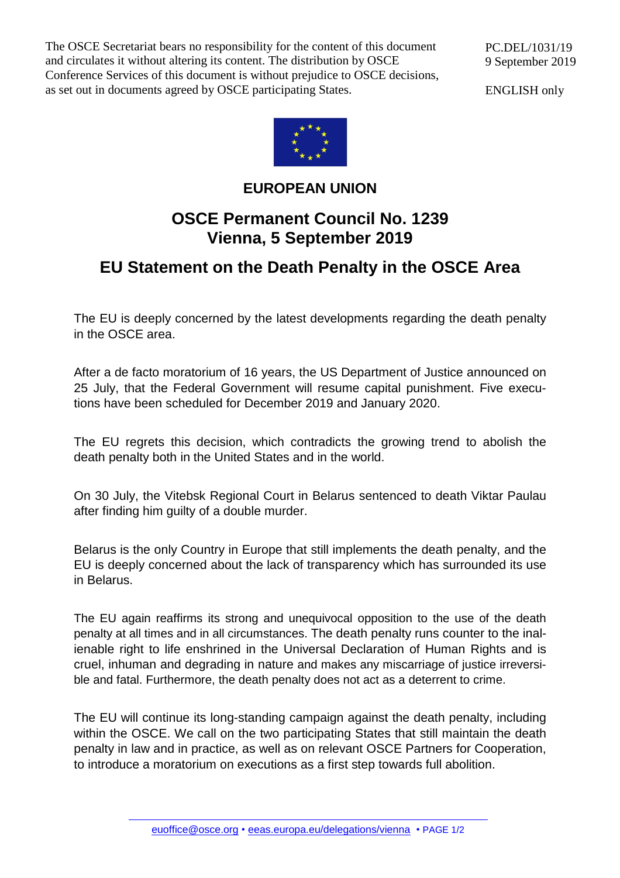The OSCE Secretariat bears no responsibility for the content of this document and circulates it without altering its content. The distribution by OSCE Conference Services of this document is without prejudice to OSCE decisions, as set out in documents agreed by OSCE participating States.

ENGLISH only



## **EUROPEAN UNION**

## **OSCE Permanent Council No. 1239 Vienna, 5 September 2019**

## **EU Statement on the Death Penalty in the OSCE Area**

The EU is deeply concerned by the latest developments regarding the death penalty in the OSCE area.

After a de facto moratorium of 16 years, the US Department of Justice announced on 25 July, that the Federal Government will resume capital punishment. Five executions have been scheduled for December 2019 and January 2020.

The EU regrets this decision, which contradicts the growing trend to abolish the death penalty both in the United States and in the world.

On 30 July, the Vitebsk Regional Court in Belarus sentenced to death Viktar Paulau after finding him guilty of a double murder.

Belarus is the only Country in Europe that still implements the death penalty, and the EU is deeply concerned about the lack of transparency which has surrounded its use in Belarus.

The EU again reaffirms its strong and unequivocal opposition to the use of the death penalty at all times and in all circumstances. The death penalty runs counter to the inalienable right to life enshrined in the Universal Declaration of Human Rights and is cruel, inhuman and degrading in nature and makes any miscarriage of justice irreversible and fatal. Furthermore, the death penalty does not act as a deterrent to crime.

The EU will continue its long-standing campaign against the death penalty, including within the OSCE. We call on the two participating States that still maintain the death penalty in law and in practice, as well as on relevant OSCE Partners for Cooperation, to introduce a moratorium on executions as a first step towards full abolition.